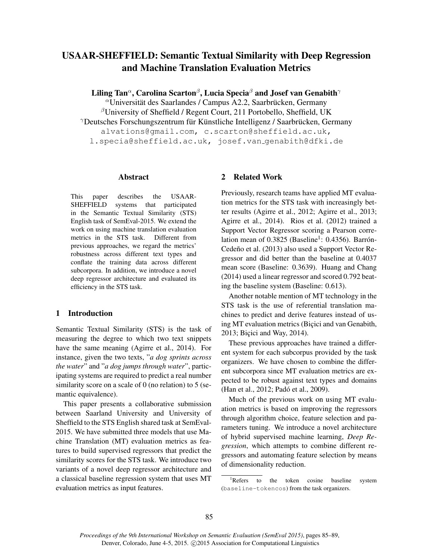# USAAR-SHEFFIELD: Semantic Textual Similarity with Deep Regression and Machine Translation Evaluation Metrics

Liling Tan $^\alpha$ , Carolina Scarton $^\beta$ , Lucia Specia $^\beta$  and Josef van Genabith $^\gamma$ 

 $\alpha$ Universität des Saarlandes / Campus A2.2, Saarbrücken, Germany

 $\beta$ University of Sheffield / Regent Court, 211 Portobello, Sheffield, UK  $\gamma$ Deutsches Forschungszentrum für Künstliche Intelligenz / Saarbrücken, Germany alvations@gmail.com, c.scarton@sheffield.ac.uk, l.specia@sheffield.ac.uk, josef.van genabith@dfki.de

#### Abstract

This paper describes the USAAR-SHEFFIELD systems that participated in the Semantic Textual Similarity (STS) English task of SemEval-2015. We extend the work on using machine translation evaluation metrics in the STS task. Different from previous approaches, we regard the metrics' robustness across different text types and conflate the training data across different subcorpora. In addition, we introduce a novel deep regressor architecture and evaluated its efficiency in the STS task.

# 1 Introduction

Semantic Textual Similarity (STS) is the task of measuring the degree to which two text snippets have the same meaning (Agirre et al., 2014). For instance, given the two texts, "*a dog sprints across the water*" and "*a dog jumps through water*", participating systems are required to predict a real number similarity score on a scale of 0 (no relation) to 5 (semantic equivalence).

This paper presents a collaborative submission between Saarland University and University of Sheffield to the STS English shared task at SemEval-2015. We have submitted three models that use Machine Translation (MT) evaluation metrics as features to build supervised regressors that predict the similarity scores for the STS task. We introduce two variants of a novel deep regressor architecture and a classical baseline regression system that uses MT evaluation metrics as input features.

# 2 Related Work

Previously, research teams have applied MT evaluation metrics for the STS task with increasingly better results (Agirre et al., 2012; Agirre et al., 2013; Agirre et al., 2014). Rios et al. (2012) trained a Support Vector Regressor scoring a Pearson correlation mean of  $0.3825$  (Baseline<sup>1</sup>: 0.4356). Barrón-Cedeño et al. (2013) also used a Support Vector Regressor and did better than the baseline at 0.4037 mean score (Baseline: 0.3639). Huang and Chang (2014) used a linear regressor and scored 0.792 beating the baseline system (Baseline: 0.613).

Another notable mention of MT technology in the STS task is the use of referential translation machines to predict and derive features instead of using MT evaluation metrics (Biçici and van Genabith, 2013; Biçici and Way, 2014).

These previous approaches have trained a different system for each subcorpus provided by the task organizers. We have chosen to combine the different subcorpora since MT evaluation metrics are expected to be robust against text types and domains (Han et al., 2012; Padó et al., 2009).

Much of the previous work on using MT evaluation metrics is based on improving the regressors through algorithm choice, feature selection and parameters tuning. We introduce a novel architecture of hybrid supervised machine learning, *Deep Regression*, which attempts to combine different regressors and automating feature selection by means of dimensionality reduction.

<sup>&</sup>lt;sup>1</sup>Refers to the token cosine baseline system (baseline-tokencos) from the task organizers.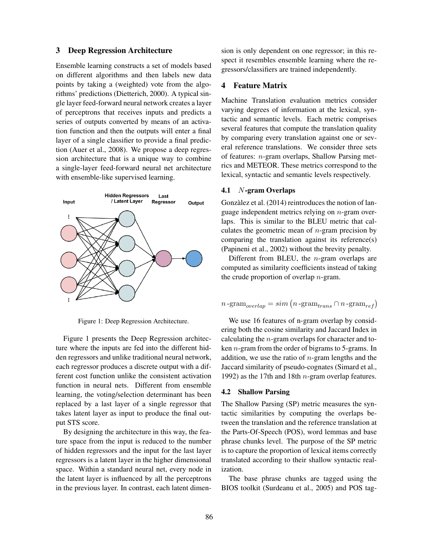# 3 Deep Regression Architecture

Ensemble learning constructs a set of models based on different algorithms and then labels new data points by taking a (weighted) vote from the algorithms' predictions (Dietterich, 2000). A typical single layer feed-forward neural network creates a layer of perceptrons that receives inputs and predicts a series of outputs converted by means of an activation function and then the outputs will enter a final layer of a single classifier to provide a final prediction (Auer et al., 2008). We propose a deep regression architecture that is a unique way to combine a single-layer feed-forward neural net architecture with ensemble-like supervised learning.



Figure 1: Deep Regression Architecture.

Figure 1 presents the Deep Regression architecture where the inputs are fed into the different hidden regressors and unlike traditional neural network, each regressor produces a discrete output with a different cost function unlike the consistent activation function in neural nets. Different from ensemble learning, the voting/selection determinant has been replaced by a last layer of a single regressor that takes latent layer as input to produce the final output STS score.

By designing the architecture in this way, the feature space from the input is reduced to the number of hidden regressors and the input for the last layer regressors is a latent layer in the higher dimensional space. Within a standard neural net, every node in the latent layer is influenced by all the perceptrons in the previous layer. In contrast, each latent dimension is only dependent on one regressor; in this respect it resembles ensemble learning where the regressors/classifiers are trained independently.

# 4 Feature Matrix

Machine Translation evaluation metrics consider varying degrees of information at the lexical, syntactic and semantic levels. Each metric comprises several features that compute the translation quality by comparing every translation against one or several reference translations. We consider three sets of features:  $n$ -gram overlaps, Shallow Parsing metrics and METEOR. These metrics correspond to the lexical, syntactic and semantic levels respectively.

# 4.1 N-gram Overlaps

Gonzàlez et al. (2014) reintroduces the notion of language independent metrics relying on  $n$ -gram overlaps. This is similar to the BLEU metric that calculates the geometric mean of  $n$ -gram precision by comparing the translation against its reference(s) (Papineni et al., 2002) without the brevity penalty.

Different from BLEU, the  $n$ -gram overlaps are computed as similarity coefficients instead of taking the crude proportion of overlap  $n$ -gram.

$$
n\text{-}\mathrm{gram}_{overlap} = sim\left(n\text{-}\mathrm{gram}_{trans}\cap n\text{-}\mathrm{gram}_{ref}\right)
$$

We use 16 features of n-gram overlap by considering both the cosine similarity and Jaccard Index in calculating the n-gram overlaps for character and token  $n$ -gram from the order of bigrams to 5-grams. In addition, we use the ratio of  $n$ -gram lengths and the Jaccard similarity of pseudo-cognates (Simard et al., 1992) as the 17th and 18th  $n$ -gram overlap features.

### 4.2 Shallow Parsing

The Shallow Parsing (SP) metric measures the syntactic similarities by computing the overlaps between the translation and the reference translation at the Parts-Of-Speech (POS), word lemmas and base phrase chunks level. The purpose of the SP metric is to capture the proportion of lexical items correctly translated according to their shallow syntactic realization.

The base phrase chunks are tagged using the BIOS toolkit (Surdeanu et al., 2005) and POS tag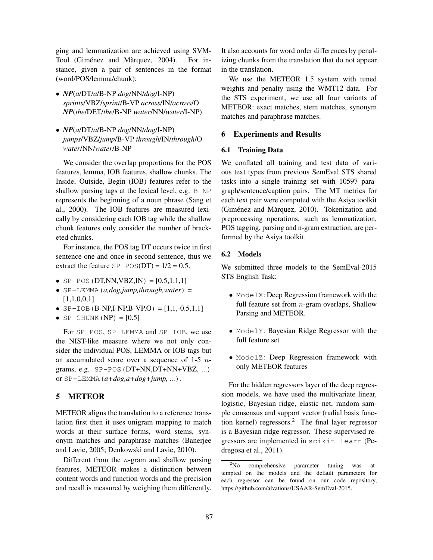ging and lemmatization are achieved using SVM-Tool (Giménez and Màrquez, 2004). For instance, given a pair of sentences in the format (word/POS/lemma/chunk):

- *NP*(*a*/DT/*a*/B-NP *dog*/NN/*dog*/I-NP) *sprints*/VBZ/*sprint*/B-VP *across*/IN/*across*/O *NP*(*the*/DET/*the*/B-NP *water*/NN/*water*/I-NP)
- *NP*(*a*/DT/*a*/B-NP *dog*/NN/*dog*/I-NP) *jumps*/VBZ/*jump*/B-VP *through*/IN/*through*/O *water*/NN/*water*/B-NP

We consider the overlap proportions for the POS features, lemma, IOB features, shallow chunks. The Inside, Outside, Begin (IOB) features refer to the shallow parsing tags at the lexical level, e.g. B-NP represents the beginning of a noun phrase (Sang et al., 2000). The IOB features are measured lexically by considering each IOB tag while the shallow chunk features only consider the number of bracketed chunks.

For instance, the POS tag DT occurs twice in first sentence one and once in second sentence, thus we extract the feature  $SP - POS(DT) = 1/2 = 0.5$ .

- SP-POS(DT,NN,VBZ,IN) =  $[0.5,1,1,1]$
- $\bullet$  SP-LEMMA (*a,dog,jump,through,water*) =  $[1,1,0,0,1]$
- $SP-IOB(B-NP,I-NP,B-VP,O) = [1,1,-0.5,1,1]$
- SP-CHUNK  $(NP) = [0.5]$

For SP-POS, SP-LEMMA and SP-IOB, we use the NIST-like measure where we not only consider the individual POS, LEMMA or IOB tags but an accumulated score over a sequence of 1-5  $n$ grams, e.g. SP-POS(DT+NN,DT+NN+VBZ, ...) or  $SP-LEMMA$   $(a+dog, a+dog+jump, ...)$ .

# 5 METEOR

METEOR aligns the translation to a reference translation first then it uses unigram mapping to match words at their surface forms, word stems, synonym matches and paraphrase matches (Banerjee and Lavie, 2005; Denkowski and Lavie, 2010).

Different from the  $n$ -gram and shallow parsing features, METEOR makes a distinction between content words and function words and the precision and recall is measured by weighing them differently. It also accounts for word order differences by penalizing chunks from the translation that do not appear in the translation.

We use the METEOR 1.5 system with tuned weights and penalty using the WMT12 data. For the STS experiment, we use all four variants of METEOR: exact matches, stem matches, synonym matches and paraphrase matches.

### 6 Experiments and Results

### 6.1 Training Data

We conflated all training and test data of various text types from previous SemEval STS shared tasks into a single training set with 10597 paragraph/sentence/caption pairs. The MT metrics for each text pair were computed with the Asiya toolkit (Giménez and Màrquez, 2010). Tokenization and preprocessing operations, such as lemmatization, POS tagging, parsing and n-gram extraction, are performed by the Asiya toolkit.

# 6.2 Models

We submitted three models to the SemEval-2015 STS English Task:

- ModelX: Deep Regression framework with the full feature set from  $n$ -gram overlaps, Shallow Parsing and METEOR.
- ModelY: Bayesian Ridge Regressor with the full feature set
- ModelZ: Deep Regression framework with only METEOR features

For the hidden regressors layer of the deep regression models, we have used the multivariate linear, logistic, Bayesian ridge, elastic net, random sample consensus and support vector (radial basis function kernel) regressors.<sup>2</sup> The final layer regressor is a Bayesian ridge regressor. These supervised regressors are implemented in scikit-learn (Pedregosa et al., 2011).

<sup>&</sup>lt;sup>2</sup>No comprehensive parameter tuning was attempted on the models and the default parameters for each regressor can be found on our code repository, https://github.com/alvations/USAAR-SemEval-2015.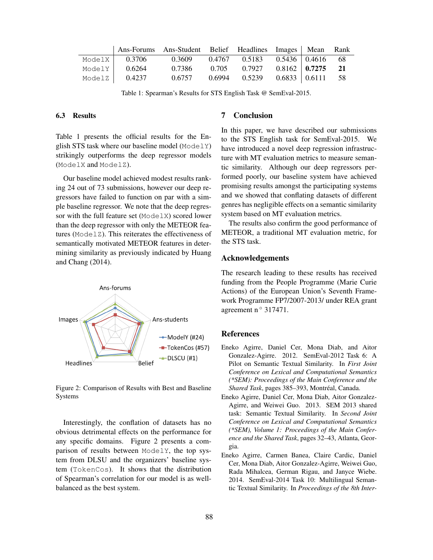|        | Ans-Forums Ans-Student Belief Headlines Images Mean |        |               |                            |                      | Rank |
|--------|-----------------------------------------------------|--------|---------------|----------------------------|----------------------|------|
|        | ModelX $\vert$ 0.3706                               | 0.3609 | 0.4767 0.5183 | $0.5436 \mid 0.4616$ 68    |                      |      |
| ModelY | 0.6264                                              | 0.7386 | 0.705 0.7927  | $0.8162 \, \mid \, 0.7275$ |                      | 21   |
| ModelZ | 0.4237                                              | 0.6757 | 0.6994 0.5239 |                            | $0.6833 \mid 0.6111$ | - 58 |

Table 1: Spearman's Results for STS English Task @ SemEval-2015.

### 6.3 Results

Table 1 presents the official results for the English STS task where our baseline model ( $ModelY$ ) strikingly outperforms the deep regressor models (ModelX and ModelZ).

Our baseline model achieved modest results ranking 24 out of 73 submissions, however our deep regressors have failed to function on par with a simple baseline regressor. We note that the deep regressor with the full feature set (ModelX) scored lower than the deep regressor with only the METEOR features (ModelZ). This reiterates the effectiveness of semantically motivated METEOR features in determining similarity as previously indicated by Huang and Chang (2014).



Figure 2: Comparison of Results with Best and Baseline Systems

Interestingly, the conflation of datasets has no obvious detrimental effects on the performance for any specific domains. Figure 2 presents a comparison of results between ModelY, the top system from DLSU and the organizers' baseline system (TokenCos). It shows that the distribution of Spearman's correlation for our model is as wellbalanced as the best system.

# 7 Conclusion

In this paper, we have described our submissions to the STS English task for SemEval-2015. We have introduced a novel deep regression infrastructure with MT evaluation metrics to measure semantic similarity. Although our deep regressors performed poorly, our baseline system have achieved promising results amongst the participating systems and we showed that conflating datasets of different genres has negligible effects on a semantic similarity system based on MT evaluation metrics.

The results also confirm the good performance of METEOR, a traditional MT evaluation metric, for the STS task.

### Acknowledgements

The research leading to these results has received funding from the People Programme (Marie Curie Actions) of the European Union's Seventh Framework Programme FP7/2007-2013/ under REA grant agreement n $\degree$  317471.

### References

- Eneko Agirre, Daniel Cer, Mona Diab, and Aitor Gonzalez-Agirre. 2012. SemEval-2012 Task 6: A Pilot on Semantic Textual Similarity. In *First Joint Conference on Lexical and Computational Semantics (\*SEM): Proceedings of the Main Conference and the* Shared Task, pages 385-393, Montréal, Canada.
- Eneko Agirre, Daniel Cer, Mona Diab, Aitor Gonzalez-Agirre, and Weiwei Guo. 2013. SEM 2013 shared task: Semantic Textual Similarity. In *Second Joint Conference on Lexical and Computational Semantics (\*SEM), Volume 1: Proceedings of the Main Conference and the Shared Task*, pages 32–43, Atlanta, Georgia.
- Eneko Agirre, Carmen Banea, Claire Cardic, Daniel Cer, Mona Diab, Aitor Gonzalez-Agirre, Weiwei Guo, Rada Mihalcea, German Rigau, and Janyce Wiebe. 2014. SemEval-2014 Task 10: Multilingual Semantic Textual Similarity. In *Proceedings of the 8th Inter-*